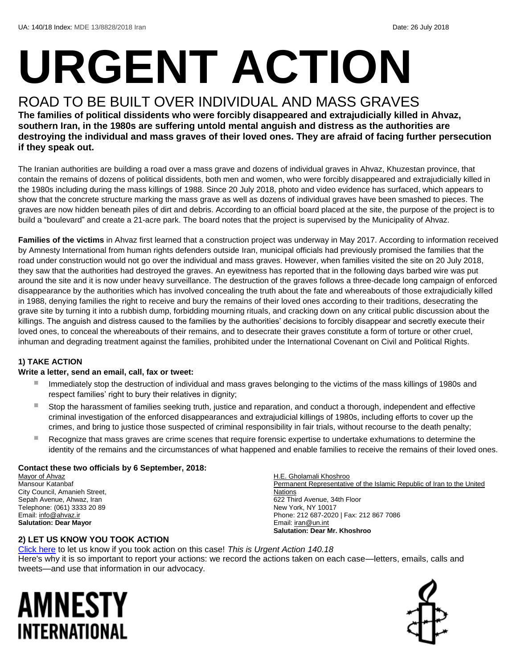# **URGENT ACTION**

## ROAD TO BE BUILT OVER INDIVIDUAL AND MASS GRAVES **The families of political dissidents who were forcibly disappeared and extrajudicially killed in Ahvaz,**

**southern Iran, in the 1980s are suffering untold mental anguish and distress as the authorities are destroying the individual and mass graves of their loved ones. They are afraid of facing further persecution if they speak out.**

The Iranian authorities are building a road over a mass grave and dozens of individual graves in Ahvaz, Khuzestan province, that contain the remains of dozens of political dissidents, both men and women, who were forcibly disappeared and extrajudicially killed in the 1980s including during the mass killings of 1988. Since 20 July 2018, photo and video evidence has surfaced, which appears to show that the concrete structure marking the mass grave as well as dozens of individual graves have been smashed to pieces. The graves are now hidden beneath piles of dirt and debris. According to an official board placed at the site, the purpose of the project is to build a "boulevard" and create a 21-acre park. The board notes that the project is supervised by the Municipality of Ahvaz.

**Families of the victims** in Ahvaz first learned that a construction project was underway in May 2017. According to information received by Amnesty International from human rights defenders outside Iran, municipal officials had previously promised the families that the road under construction would not go over the individual and mass graves. However, when families visited the site on 20 July 2018, they saw that the authorities had destroyed the graves. An eyewitness has reported that in the following days barbed wire was put around the site and it is now under heavy surveillance. The destruction of the graves follows a three-decade long campaign of enforced disappearance by the authorities which has involved concealing the truth about the fate and whereabouts of those extrajudicially killed in 1988, denying families the right to receive and bury the remains of their loved ones according to their traditions, desecrating the grave site by turning it into a rubbish dump, forbidding mourning rituals, and cracking down on any critical public discussion about the killings. The anguish and distress caused to the families by the authorities' decisions to forcibly disappear and secretly execute their loved ones, to conceal the whereabouts of their remains, and to desecrate their graves constitute a form of torture or other cruel, inhuman and degrading treatment against the families, prohibited under the International Covenant on Civil and Political Rights.

#### **1) TAKE ACTION**

#### **Write a letter, send an email, call, fax or tweet:**

- Immediately stop the destruction of individual and mass graves belonging to the victims of the mass killings of 1980s and respect families' right to bury their relatives in dignity;
- Stop the harassment of families seeking truth, justice and reparation, and conduct a thorough, independent and effective criminal investigation of the enforced disappearances and extrajudicial killings of 1980s, including efforts to cover up the crimes, and bring to justice those suspected of criminal responsibility in fair trials, without recourse to the death penalty;
- Recognize that mass graves are crime scenes that require forensic expertise to undertake exhumations to determine the identity of the remains and the circumstances of what happened and enable families to receive the remains of their loved ones.

H.E. Gholamali Khoshroo

#### **Contact these two officials by 6 September, 2018:**

Mayor of Ahvaz Mansour Katanbaf City Council, Amanieh Street, Sepah Avenue, Ahwaz, Iran Telephone: (061) 3333 20 89 Email: [info@ahvaz.ir](mailto:info@ahvaz.ir) **Salutation: Dear Mayor**

Permanent Representative of the Islamic Republic of Iran to the United **Nations** 622 Third Avenue, 34th Floor New York, NY 10017 Phone: 212 687-2020 | Fax: 212 867 7086 Email[: iran@un.int](mailto:iran@un.int) **Salutation: Dear Mr. Khoshroo**

#### **2) LET US KNOW YOU TOOK ACTION**

[Click here](https://www.amnestyusa.org/report-urgent-actions/) to let us know if you took action on this case! *This is Urgent Action 140.18* Here's why it is so important to report your actions: we record the actions taken on each case—letters, emails, calls and tweets—and use that information in our advocacy.